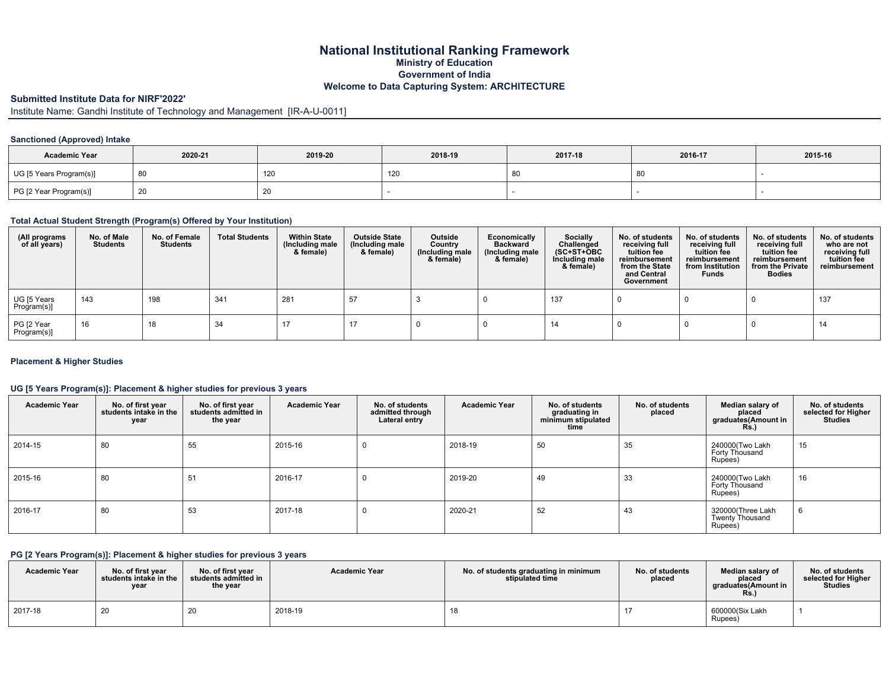## **National Institutional Ranking Framework Ministry of Education Government of India Welcome to Data Capturing System: ARCHITECTURE**

### **Submitted Institute Data for NIRF'2022'**

Institute Name: Gandhi Institute of Technology and Management [IR-A-U-0011]

### **Sanctioned (Approved) Intake**

| <b>Academic Year</b>    | 2020-21 | 2019-20 |     | 2017-18 | 2016-17 | 2015-16 |
|-------------------------|---------|---------|-----|---------|---------|---------|
| UG [5 Years Program(s)] | 80 '    | 120     | 120 |         | 80      |         |
| PG [2 Year Program(s)]  | 20      | 20      |     |         |         |         |

### **Total Actual Student Strength (Program(s) Offered by Your Institution)**

| (All programs<br>of all years) | No. of Male<br><b>Students</b> | No. of Female<br>Students | <b>Total Students</b> | <b>Within State</b><br>(Including male)<br>& female) | <b>Outside State</b><br>(Including male<br>& female) | Outside<br>Country<br>(Including male<br>& female) | Economically<br><b>Backward</b><br>(Including male<br>& female) | Socially<br>Challenged<br>$(SC+ST+OBC)$<br>Including male<br>& female) | No. of students<br>receiving full<br>tuition fee<br>reimbursement<br>from the State<br>and Central<br>Government | No. of students<br>receiving full<br>tuition fee<br>reimbursement<br>from Institution<br><b>Funds</b> | No. of students<br>receiving full<br>tuition fee<br>reimbursement<br>from the Private<br><b>Bodies</b> | No. of students<br>who are not<br>receiving full<br>tuition fee<br>reimbursement |
|--------------------------------|--------------------------------|---------------------------|-----------------------|------------------------------------------------------|------------------------------------------------------|----------------------------------------------------|-----------------------------------------------------------------|------------------------------------------------------------------------|------------------------------------------------------------------------------------------------------------------|-------------------------------------------------------------------------------------------------------|--------------------------------------------------------------------------------------------------------|----------------------------------------------------------------------------------|
| UG [5 Years<br>Program(s)]     | 143                            | 198                       | 341                   | 281                                                  | 57                                                   |                                                    |                                                                 | 137                                                                    |                                                                                                                  |                                                                                                       |                                                                                                        | 137                                                                              |
| PG [2 Year<br>Program(s)]      | 16                             | 18                        | -34                   |                                                      |                                                      |                                                    |                                                                 |                                                                        |                                                                                                                  |                                                                                                       |                                                                                                        | 14                                                                               |

### **Placement & Higher Studies**

#### **UG [5 Years Program(s)]: Placement & higher studies for previous 3 years**

| <b>Academic Year</b> | No. of first year<br>students intake in the<br>year | No. of first year<br>students admitted in<br>the year | <b>Academic Year</b> | No. of students<br>admitted through<br>Lateral entry | <b>Academic Year</b> | No. of students<br>graduating in<br>minimum stipulated<br>time | No. of students<br>placed | Median salary of<br>placed<br>graduates(Amount in<br>Rs.) | No. of students<br>selected for Higher<br>Studies |
|----------------------|-----------------------------------------------------|-------------------------------------------------------|----------------------|------------------------------------------------------|----------------------|----------------------------------------------------------------|---------------------------|-----------------------------------------------------------|---------------------------------------------------|
| 2014-15              | 80                                                  | 55                                                    | 2015-16              |                                                      | 2018-19              | 50                                                             | 35                        | 240000(Two Lakh<br>Forty Thousand<br>Rupees)              | 15                                                |
| 2015-16              | 80                                                  | 51                                                    | 2016-17              |                                                      | 2019-20              | 49                                                             | 33                        | 240000(Two Lakh<br>Forty Thousand<br>Rupees)              | 16                                                |
| 2016-17              | 80                                                  | 53                                                    | 2017-18              |                                                      | 2020-21              | 52                                                             | 43                        | 320000 (Three Lakh<br><b>Twenty Thousand</b><br>Rupees)   | 6                                                 |

## **PG [2 Years Program(s)]: Placement & higher studies for previous 3 years**

| <b>Academic Year</b> | No. of first year<br>students intake in the<br>year | No. of first vear<br>students admitted in<br>the year | <b>Academic Year</b> | No. of students graduating in minimum<br>stipulated time | No. of students<br>placed | Median salary of<br>placed<br>graduates(Amount in<br>Rs. | No. of students<br>selected for Higher<br><b>Studies</b> |
|----------------------|-----------------------------------------------------|-------------------------------------------------------|----------------------|----------------------------------------------------------|---------------------------|----------------------------------------------------------|----------------------------------------------------------|
| 2017-18              | 20                                                  | $\sim$<br>∠∪                                          | 2018-19              | 18                                                       |                           | 600000(Six Lakh<br>Rupees)                               |                                                          |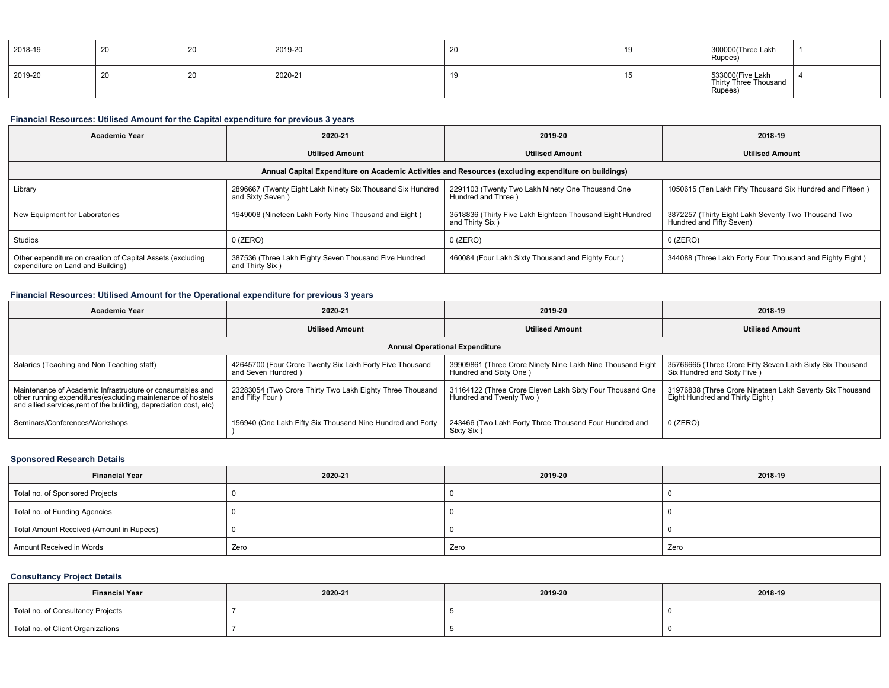| 2018-19 | ∠∪ | - ZU | 2019-20 | 1 J | 300000(Three Lakh<br>Rupees)                         |  |
|---------|----|------|---------|-----|------------------------------------------------------|--|
| 2019-20 | ∠∪ | ZU   | 2020-21 |     | 533000(Five Lakh<br>Thirty Three Thousand<br>Rupées) |  |

# **Financial Resources: Utilised Amount for the Capital expenditure for previous 3 years**

| <b>Academic Year</b>                                                                                 | 2020-21                                                                        | 2019-20                                                                      | 2018-19                                                                         |  |  |  |  |
|------------------------------------------------------------------------------------------------------|--------------------------------------------------------------------------------|------------------------------------------------------------------------------|---------------------------------------------------------------------------------|--|--|--|--|
|                                                                                                      | <b>Utilised Amount</b>                                                         | <b>Utilised Amount</b>                                                       | <b>Utilised Amount</b>                                                          |  |  |  |  |
| Annual Capital Expenditure on Academic Activities and Resources (excluding expenditure on buildings) |                                                                                |                                                                              |                                                                                 |  |  |  |  |
| Library                                                                                              | 2896667 (Twenty Eight Lakh Ninety Six Thousand Six Hundred<br>and Sixty Seven) | 2291103 (Twenty Two Lakh Ninety One Thousand One<br>Hundred and Three )      | 1050615 (Ten Lakh Fifty Thousand Six Hundred and Fifteen)                       |  |  |  |  |
| New Equipment for Laboratories                                                                       | 1949008 (Nineteen Lakh Forty Nine Thousand and Eight)                          | 3518836 (Thirty Five Lakh Eighteen Thousand Eight Hundred<br>and Thirty Six) | 3872257 (Thirty Eight Lakh Seventy Two Thousand Two<br>Hundred and Fifty Seven) |  |  |  |  |
| Studios                                                                                              | $0$ (ZERO)                                                                     | $0$ (ZERO)                                                                   | $0$ (ZERO)                                                                      |  |  |  |  |
| Other expenditure on creation of Capital Assets (excluding<br>expenditure on Land and Building)      | 387536 (Three Lakh Eighty Seven Thousand Five Hundred<br>and Thirty Six)       | 460084 (Four Lakh Sixty Thousand and Eighty Four)                            | 344088 (Three Lakh Forty Four Thousand and Eighty Eight)                        |  |  |  |  |

# **Financial Resources: Utilised Amount for the Operational expenditure for previous 3 years**

| <b>Academic Year</b>                                                                                                                                                                           | 2020-21                                                                        | 2019-20                                                                               | 2018-19                                                                                     |  |  |  |  |  |  |
|------------------------------------------------------------------------------------------------------------------------------------------------------------------------------------------------|--------------------------------------------------------------------------------|---------------------------------------------------------------------------------------|---------------------------------------------------------------------------------------------|--|--|--|--|--|--|
|                                                                                                                                                                                                | <b>Utilised Amount</b>                                                         | <b>Utilised Amount</b>                                                                | <b>Utilised Amount</b>                                                                      |  |  |  |  |  |  |
|                                                                                                                                                                                                | <b>Annual Operational Expenditure</b>                                          |                                                                                       |                                                                                             |  |  |  |  |  |  |
| Salaries (Teaching and Non Teaching staff)                                                                                                                                                     | 42645700 (Four Crore Twenty Six Lakh Forty Five Thousand<br>and Seven Hundred) | 39909861 (Three Crore Ninety Nine Lakh Nine Thousand Eight<br>Hundred and Sixty One ) | 35766665 (Three Crore Fifty Seven Lakh Sixty Six Thousand<br>Six Hundred and Sixty Five )   |  |  |  |  |  |  |
| Maintenance of Academic Infrastructure or consumables and<br>other running expenditures (excluding maintenance of hostels<br>and allied services rent of the building, depreciation cost, etc) | 23283054 (Two Crore Thirty Two Lakh Eighty Three Thousand<br>and Fifty Four )  | 31164122 (Three Crore Eleven Lakh Sixty Four Thousand One<br>Hundred and Twenty Two)  | 31976838 (Three Crore Nineteen Lakh Seventy Six Thousand<br>Eight Hundred and Thirty Eight) |  |  |  |  |  |  |
| Seminars/Conferences/Workshops                                                                                                                                                                 | 156940 (One Lakh Fifty Six Thousand Nine Hundred and Forty                     | 243466 (Two Lakh Forty Three Thousand Four Hundred and<br>Sixty Six                   | $0$ (ZERO)                                                                                  |  |  |  |  |  |  |

### **Sponsored Research Details**

| <b>Financial Year</b>                    | 2020-21 | 2019-20 | 2018-19 |  |
|------------------------------------------|---------|---------|---------|--|
| Total no. of Sponsored Projects          |         |         |         |  |
| Total no. of Funding Agencies            |         |         |         |  |
| Total Amount Received (Amount in Rupees) |         |         |         |  |
| Amount Received in Words                 | Zero    | Zero    | Zero    |  |

## **Consultancy Project Details**

| <b>Financial Year</b>             | 2020-21 | 2019-20 | 2018-19 |
|-----------------------------------|---------|---------|---------|
| Total no. of Consultancy Projects |         |         |         |
| Total no. of Client Organizations |         |         |         |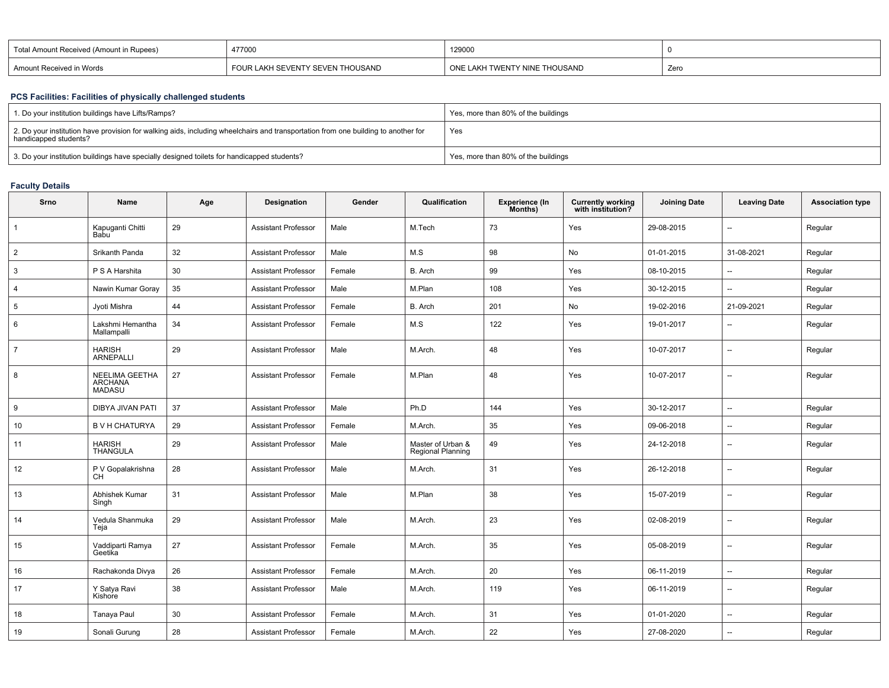| . Total Amount Received (Amount in Rupees) | 477000                           | 129000                        |      |
|--------------------------------------------|----------------------------------|-------------------------------|------|
| Amount Received in Words                   | FOUR LAKH SEVENTY SEVEN THOUSAND | ONE LAKH TWENTY NINE THOUSAND | Zerc |

## **PCS Facilities: Facilities of physically challenged students**

| 1. Do your institution buildings have Lifts/Ramps?                                                                                                         | Yes, more than 80% of the buildings |
|------------------------------------------------------------------------------------------------------------------------------------------------------------|-------------------------------------|
| 2. Do your institution have provision for walking aids, including wheelchairs and transportation from one building to another for<br>handicapped students? | Yes                                 |
| 3. Do your institution buildings have specially designed toilets for handicapped students?                                                                 | Yes, more than 80% of the buildings |

# **Faculty Details**

| Srno           | Name                                              | Age | Designation                | Gender | Qualification                                 | <b>Experience (In</b><br>Months) | <b>Currently working</b><br>with institution? | <b>Joining Date</b> | <b>Leaving Date</b>      | <b>Association type</b> |
|----------------|---------------------------------------------------|-----|----------------------------|--------|-----------------------------------------------|----------------------------------|-----------------------------------------------|---------------------|--------------------------|-------------------------|
| $\overline{1}$ | Kapuganti Chitti<br>Babu                          | 29  | <b>Assistant Professor</b> | Male   | M.Tech                                        | 73                               | Yes                                           | 29-08-2015          | $\overline{a}$           | Regular                 |
| $\overline{2}$ | Srikanth Panda                                    | 32  | <b>Assistant Professor</b> | Male   | M.S                                           | 98                               | No                                            | 01-01-2015          | 31-08-2021               | Regular                 |
| 3              | P S A Harshita                                    | 30  | <b>Assistant Professor</b> | Female | B. Arch                                       | 99                               | Yes                                           | 08-10-2015          | $\overline{\phantom{a}}$ | Regular                 |
| $\overline{4}$ | Nawin Kumar Goray                                 | 35  | <b>Assistant Professor</b> | Male   | M.Plan                                        | 108                              | Yes                                           | 30-12-2015          | $\overline{\phantom{a}}$ | Regular                 |
| 5              | Jyoti Mishra                                      | 44  | <b>Assistant Professor</b> | Female | B. Arch                                       | 201                              | No                                            | 19-02-2016          | 21-09-2021               | Regular                 |
| 6              | Lakshmi Hemantha<br>Mallampalli                   | 34  | <b>Assistant Professor</b> | Female | M.S                                           | 122                              | Yes                                           | 19-01-2017          | $\overline{\phantom{a}}$ | Regular                 |
| $\overline{7}$ | <b>HARISH</b><br><b>ARNEPALLI</b>                 | 29  | <b>Assistant Professor</b> | Male   | M.Arch.                                       | 48                               | Yes                                           | 10-07-2017          | $\overline{\phantom{a}}$ | Regular                 |
| 8              | NEELIMA GEETHA<br><b>ARCHANA</b><br><b>MADASU</b> | 27  | <b>Assistant Professor</b> | Female | M.Plan                                        | 48                               | Yes                                           | 10-07-2017          | $\overline{\phantom{a}}$ | Regular                 |
| 9              | DIBYA JIVAN PATI                                  | 37  | <b>Assistant Professor</b> | Male   | Ph.D                                          | 144                              | Yes                                           | 30-12-2017          | --                       | Regular                 |
| 10             | <b>B V H CHATURYA</b>                             | 29  | <b>Assistant Professor</b> | Female | M.Arch.                                       | 35                               | Yes                                           | 09-06-2018          | --                       | Regular                 |
| 11             | <b>HARISH</b><br><b>THANGULA</b>                  | 29  | <b>Assistant Professor</b> | Male   | Master of Urban &<br><b>Regional Planning</b> | 49                               | Yes                                           | 24-12-2018          | --                       | Regular                 |
| 12             | P V Gopalakrishna<br>CH                           | 28  | <b>Assistant Professor</b> | Male   | M.Arch.                                       | 31                               | Yes                                           | 26-12-2018          | $\overline{a}$           | Regular                 |
| 13             | Abhishek Kumar<br>Singh                           | 31  | <b>Assistant Professor</b> | Male   | M.Plan                                        | 38                               | Yes                                           | 15-07-2019          | $\overline{\phantom{a}}$ | Regular                 |
| 14             | Vedula Shanmuka<br>Teja                           | 29  | <b>Assistant Professor</b> | Male   | M.Arch.                                       | 23                               | Yes                                           | 02-08-2019          | $\overline{\phantom{a}}$ | Regular                 |
| 15             | Vaddiparti Ramya<br>Geetika                       | 27  | <b>Assistant Professor</b> | Female | M.Arch.                                       | 35                               | Yes                                           | 05-08-2019          | $\overline{\phantom{a}}$ | Regular                 |
| 16             | Rachakonda Divya                                  | 26  | <b>Assistant Professor</b> | Female | M.Arch.                                       | 20                               | Yes                                           | 06-11-2019          | $\overline{\phantom{a}}$ | Regular                 |
| 17             | Y Satya Ravi<br>Kishore                           | 38  | <b>Assistant Professor</b> | Male   | M.Arch.                                       | 119                              | Yes                                           | 06-11-2019          | $\overline{\phantom{a}}$ | Regular                 |
| 18             | Tanaya Paul                                       | 30  | <b>Assistant Professor</b> | Female | M.Arch.                                       | 31                               | Yes                                           | 01-01-2020          | $\overline{\phantom{a}}$ | Regular                 |
| 19             | Sonali Gurung                                     | 28  | <b>Assistant Professor</b> | Female | M.Arch.                                       | 22                               | Yes                                           | 27-08-2020          | $\overline{\phantom{a}}$ | Regular                 |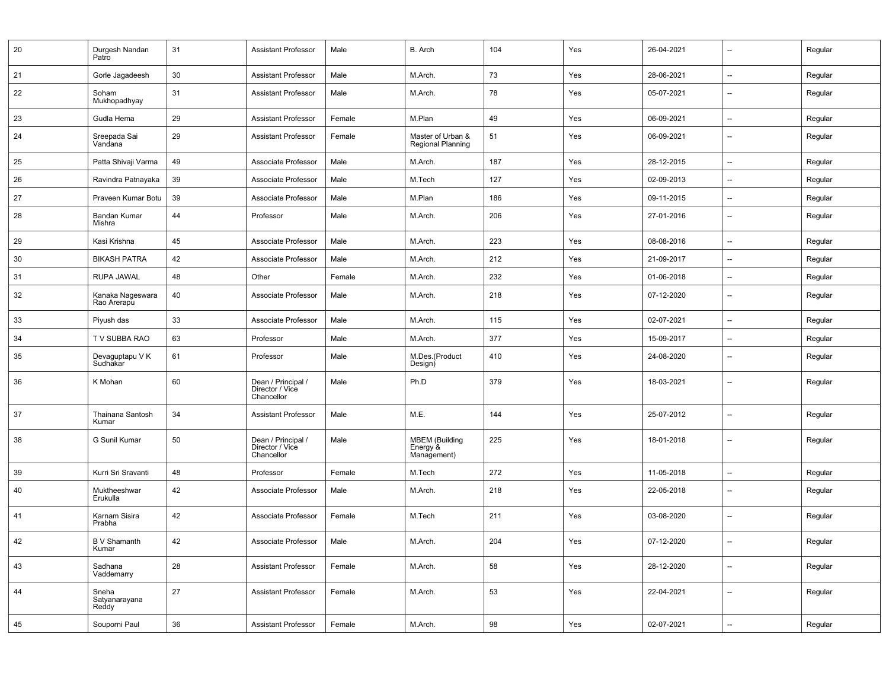| 20 | Durgesh Nandan<br>Patro         | 31 | <b>Assistant Professor</b>                          | Male   | B. Arch                                          | 104 | Yes | 26-04-2021 | --                       | Regular |
|----|---------------------------------|----|-----------------------------------------------------|--------|--------------------------------------------------|-----|-----|------------|--------------------------|---------|
| 21 | Gorle Jagadeesh                 | 30 | <b>Assistant Professor</b>                          | Male   | M.Arch.                                          | 73  | Yes | 28-06-2021 | $\overline{a}$           | Regular |
| 22 | Soham<br>Mukhopadhyay           | 31 | <b>Assistant Professor</b>                          | Male   | M.Arch.                                          | 78  | Yes | 05-07-2021 | --                       | Regular |
| 23 | Gudla Hema                      | 29 | <b>Assistant Professor</b>                          | Female | M.Plan                                           | 49  | Yes | 06-09-2021 | $\overline{\phantom{a}}$ | Regular |
| 24 | Sreepada Sai<br>Vandana         | 29 | <b>Assistant Professor</b>                          | Female | Master of Urban &<br><b>Regional Planning</b>    | 51  | Yes | 06-09-2021 | $\overline{\phantom{a}}$ | Regular |
| 25 | Patta Shivaji Varma             | 49 | Associate Professor                                 | Male   | M.Arch.                                          | 187 | Yes | 28-12-2015 | --                       | Regular |
| 26 | Ravindra Patnayaka              | 39 | Associate Professor                                 | Male   | M.Tech                                           | 127 | Yes | 02-09-2013 | --                       | Regular |
| 27 | Praveen Kumar Botu              | 39 | Associate Professor                                 | Male   | M.Plan                                           | 186 | Yes | 09-11-2015 | --                       | Regular |
| 28 | Bandan Kumar<br>Mishra          | 44 | Professor                                           | Male   | M.Arch.                                          | 206 | Yes | 27-01-2016 | $\overline{\phantom{a}}$ | Regular |
| 29 | Kasi Krishna                    | 45 | Associate Professor                                 | Male   | M.Arch.                                          | 223 | Yes | 08-08-2016 | --                       | Regular |
| 30 | <b>BIKASH PATRA</b>             | 42 | Associate Professor                                 | Male   | M.Arch.                                          | 212 | Yes | 21-09-2017 | $\overline{\phantom{a}}$ | Regular |
| 31 | RUPA JAWAL                      | 48 | Other                                               | Female | M.Arch.                                          | 232 | Yes | 01-06-2018 | --                       | Regular |
| 32 | Kanaka Nageswara<br>Rao Arerapu | 40 | Associate Professor                                 | Male   | M.Arch.                                          | 218 | Yes | 07-12-2020 | $\overline{\phantom{a}}$ | Regular |
| 33 | Piyush das                      | 33 | Associate Professor                                 | Male   | M.Arch.                                          | 115 | Yes | 02-07-2021 | --                       | Regular |
| 34 | TV SUBBA RAO                    | 63 | Professor                                           | Male   | M.Arch.                                          | 377 | Yes | 15-09-2017 | $\overline{\phantom{a}}$ | Regular |
| 35 | Devaguptapu V K<br>Sudhakar     | 61 | Professor                                           | Male   | M.Des.(Product<br>Design)                        | 410 | Yes | 24-08-2020 |                          | Regular |
| 36 | K Mohan                         | 60 | Dean / Principal /<br>Director / Vice<br>Chancellor | Male   | Ph.D                                             | 379 | Yes | 18-03-2021 | --                       | Regular |
| 37 | Thainana Santosh<br>Kumar       | 34 | <b>Assistant Professor</b>                          | Male   | M.E.                                             | 144 | Yes | 25-07-2012 | $\overline{a}$           | Regular |
| 38 | G Sunil Kumar                   | 50 | Dean / Principal /<br>Director / Vice<br>Chancellor | Male   | <b>MBEM</b> (Building<br>Energy &<br>Management) | 225 | Yes | 18-01-2018 | $\overline{\phantom{a}}$ | Regular |
| 39 | Kurri Sri Sravanti              | 48 | Professor                                           | Female | M.Tech                                           | 272 | Yes | 11-05-2018 | --                       | Regular |
| 40 | Muktheeshwar<br>Erukulla        | 42 | Associate Professor                                 | Male   | M.Arch.                                          | 218 | Yes | 22-05-2018 | $\overline{\phantom{a}}$ | Regular |
| 41 | Karnam Sisira<br>Prabha         | 42 | Associate Professor                                 | Female | M.Tech                                           | 211 | Yes | 03-08-2020 | --                       | Regular |
| 42 | <b>B</b> V Shamanth<br>Kumar    | 42 | Associate Professor                                 | Male   | M.Arch.                                          | 204 | Yes | 07-12-2020 | $\overline{\phantom{a}}$ | Regular |
| 43 | Sadhana<br>Vaddemarry           | 28 | <b>Assistant Professor</b>                          | Female | M.Arch.                                          | 58  | Yes | 28-12-2020 | $\overline{\phantom{a}}$ | Regular |
| 44 | Sneha<br>Satyanarayana<br>Reddy | 27 | <b>Assistant Professor</b>                          | Female | M.Arch.                                          | 53  | Yes | 22-04-2021 | --                       | Regular |
| 45 | Souporni Paul                   | 36 | <b>Assistant Professor</b>                          | Female | M.Arch.                                          | 98  | Yes | 02-07-2021 | $\overline{\phantom{a}}$ | Regular |